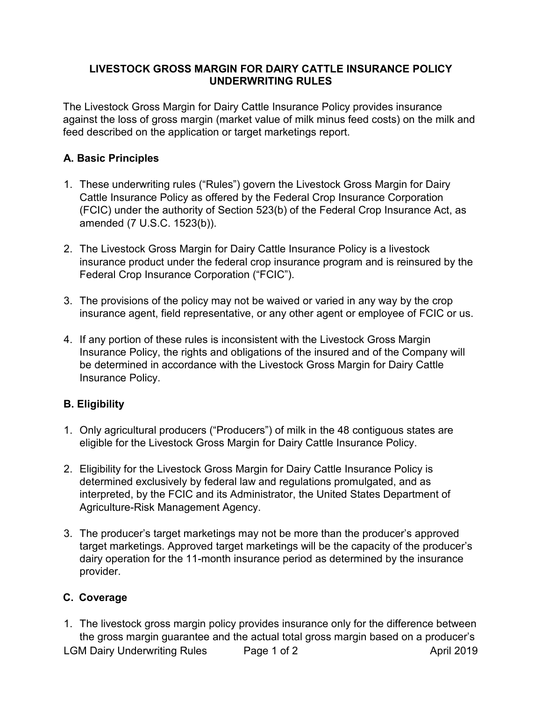## **LIVESTOCK GROSS MARGIN FOR DAIRY CATTLE INSURANCE POLICY UNDERWRITING RULES**

The Livestock Gross Margin for Dairy Cattle Insurance Policy provides insurance against the loss of gross margin (market value of milk minus feed costs) on the milk and feed described on the application or target marketings report.

## **A. Basic Principles**

- 1. These underwriting rules ("Rules") govern the Livestock Gross Margin for Dairy Cattle Insurance Policy as offered by the Federal Crop Insurance Corporation (FCIC) under the authority of Section 523(b) of the Federal Crop Insurance Act, as amended (7 U.S.C. 1523(b)).
- 2. The Livestock Gross Margin for Dairy Cattle Insurance Policy is a livestock insurance product under the federal crop insurance program and is reinsured by the Federal Crop Insurance Corporation ("FCIC").
- 3. The provisions of the policy may not be waived or varied in any way by the crop insurance agent, field representative, or any other agent or employee of FCIC or us.
- 4. If any portion of these rules is inconsistent with the Livestock Gross Margin Insurance Policy, the rights and obligations of the insured and of the Company will be determined in accordance with the Livestock Gross Margin for Dairy Cattle Insurance Policy.

## **B. Eligibility**

- 1. Only agricultural producers ("Producers") of milk in the 48 contiguous states are eligible for the Livestock Gross Margin for Dairy Cattle Insurance Policy.
- 2. Eligibility for the Livestock Gross Margin for Dairy Cattle Insurance Policy is determined exclusively by federal law and regulations promulgated, and as interpreted, by the FCIC and its Administrator, the United States Department of Agriculture-Risk Management Agency.
- 3. The producer's target marketings may not be more than the producer's approved target marketings. Approved target marketings will be the capacity of the producer's dairy operation for the 11-month insurance period as determined by the insurance provider.

## **C. Coverage**

LGM Dairy Underwriting Rules Page 1 of 2 April 2019 1. The livestock gross margin policy provides insurance only for the difference between the gross margin guarantee and the actual total gross margin based on a producer's